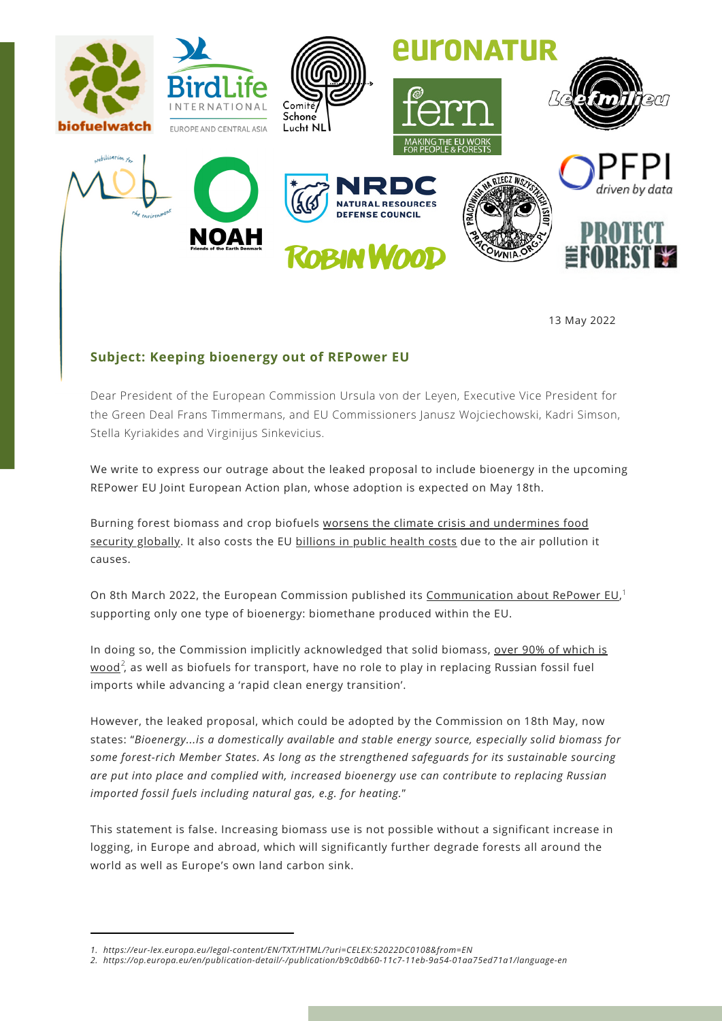

13 May 2022

## **Subject: Keeping bioenergy out of REPower EU**

Dear President of the European Commission Ursula von der Leyen, Executive Vice President for the Green Deal Frans Timmermans, and EU Commissioners Janusz Wojciechowski, Kadri Simson, Stella Kyriakides and Virginijus Sinkevicius.

We write to express our outrage about the leaked proposal to include bioenergy in the upcoming REPower EU Joint European Action plan, whose adoption is expected on May 18th.

Burning forest biomass and crop biofuels worsens the climate crisis and [undermines](https://scholar.princeton.edu/sites/default/files/searchinger-james-dumas_europes-land-future_full_report-2022.pdf) food security globally. It also costs the EU [billions](https://www.newscientist.com/article/2314156-health-impacts-of-wood-burning-cost-eu-and-uk-e17-billion-a-year/) in public health costs due to the air pollution it causes.

On 8th March 2022, the European Commission published its [Communication](https://eur-lex.europa.eu/legal-content/EN/TXT/HTML/?uri=CELEX:52022DC0108&from=EN) about RePower EU,<sup>1</sup> supporting only one type of bioenergy: biomethane produced within the EU.

In doing so, the Commission implicitly [acknowledged](https://op.europa.eu/en/publication-detail/-/publication/b9c0db60-11c7-11eb-9a54-01aa75ed71a1/language-en) that solid biomass, over 90% of which is  ${\sf wood}^2$ , as well as biofuels for transport, have no role to play in replacing Russian fossil fuel imports while advancing a 'rapid clean energy transition'.

However, the leaked proposal, which could be adopted by the Commission on 18th May, now states: "*Bioenergy...is a domestically available and stable energy source, especially solid biomass for some forest-rich Member States. As long as the strengthened safeguards for its sustainable sourcing are put into place and complied with, increased bioenergy use can contribute to replacing Russian imported fossil fuels including natural gas, e.g. for heating.*"

This statement is false. Increasing biomass use is not possible without a significant increase in logging, in Europe and abroad, which will significantly further degrade forests all around the world as well as Europe's own land carbon sink.

*<sup>1.</sup> <https://eur-lex.europa.eu/legal-content/EN/TXT/HTML/?uri=CELEX:52022DC0108&from=EN>*

*<sup>2.</sup> <https://op.europa.eu/en/publication-detail/-/publication/b9c0db60-11c7-11eb-9a54-01aa75ed71a1/language-en>*